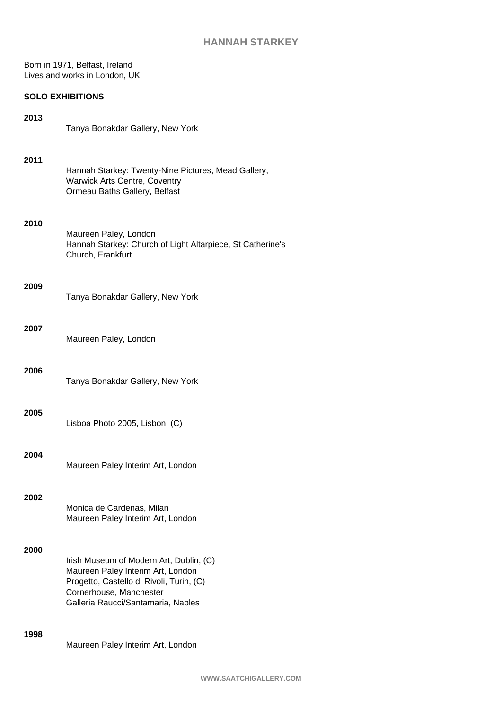# **HANNAH STARKEY**

Born in 1971, Belfast, Ireland Lives and works in London, UK

# **SOLO EXHIBITIONS**

| 2013 | Tanya Bonakdar Gallery, New York                                                                                                                                                          |
|------|-------------------------------------------------------------------------------------------------------------------------------------------------------------------------------------------|
| 2011 | Hannah Starkey: Twenty-Nine Pictures, Mead Gallery,<br><b>Warwick Arts Centre, Coventry</b><br>Ormeau Baths Gallery, Belfast                                                              |
| 2010 | Maureen Paley, London<br>Hannah Starkey: Church of Light Altarpiece, St Catherine's<br>Church, Frankfurt                                                                                  |
| 2009 | Tanya Bonakdar Gallery, New York                                                                                                                                                          |
| 2007 | Maureen Paley, London                                                                                                                                                                     |
| 2006 | Tanya Bonakdar Gallery, New York                                                                                                                                                          |
| 2005 | Lisboa Photo 2005, Lisbon, (C)                                                                                                                                                            |
| 2004 | Maureen Paley Interim Art, London                                                                                                                                                         |
| 2002 | Monica de Cardenas, Milan<br>Maureen Paley Interim Art, London                                                                                                                            |
| 2000 | Irish Museum of Modern Art, Dublin, (C)<br>Maureen Paley Interim Art, London<br>Progetto, Castello di Rivoli, Turin, (C)<br>Cornerhouse, Manchester<br>Galleria Raucci/Santamaria, Naples |
| 1998 | Maureen Paley Interim Art, London                                                                                                                                                         |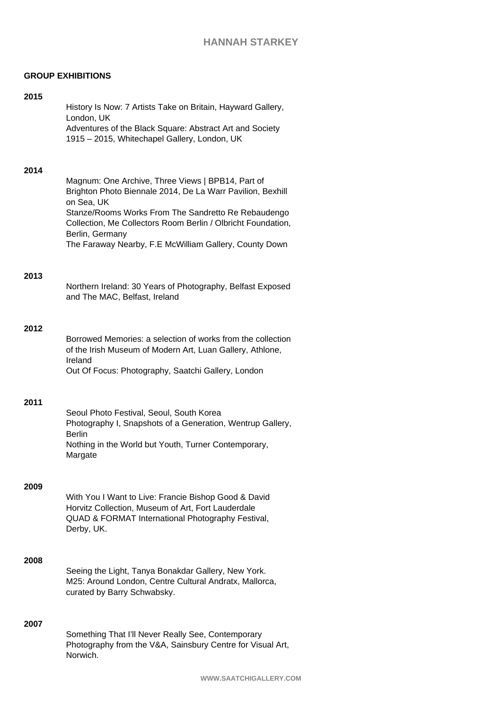## **GROUP EXHIBITIONS**

#### **2015**

History Is Now: 7 Artists Take on Britain, Hayward Gallery, London, UK Adventures of the Black Square: Abstract Art and Society 1915 – 2015, Whitechapel Gallery, London, UK

#### **2014**

Magnum: One Archive, Three Views | BPB14, Part of Brighton Photo Biennale 2014, De La Warr Pavilion, Bexhill on Sea, UK Stanze/Rooms Works From The Sandretto Re Rebaudengo Collection, Me Collectors Room Berlin / Olbricht Foundation, Berlin, Germany The Faraway Nearby, F.E McWilliam Gallery, County Down

### **2013**

Northern Ireland: 30 Years of Photography, Belfast Exposed and The MAC, Belfast, Ireland

### **2012**

Borrowed Memories: a selection of works from the collection of the Irish Museum of Modern Art, Luan Gallery, Athlone, Ireland Out Of Focus: Photography, Saatchi Gallery, London

## **2011**

Seoul Photo Festival, Seoul, South Korea Photography I, Snapshots of a Generation, Wentrup Gallery, Berlin Nothing in the World but Youth, Turner Contemporary, Margate

#### **2009**

With You I Want to Live: Francie Bishop Good & David Horvitz Collection, Museum of Art, Fort Lauderdale QUAD & FORMAT International Photography Festival, Derby, UK.

### **2008**

Seeing the Light, Tanya Bonakdar Gallery, New York. M25: Around London, Centre Cultural Andratx, Mallorca, curated by Barry Schwabsky.

## **2007**

Something That I'll Never Really See, Contemporary Photography from the V&A, Sainsbury Centre for Visual Art, Norwich.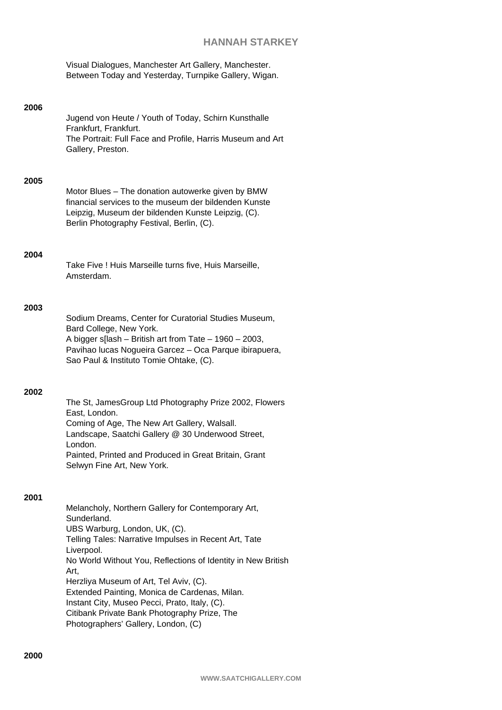# **HANNAH STARKEY**

Visual Dialogues, Manchester Art Gallery, Manchester. Between Today and Yesterday, Turnpike Gallery, Wigan.

| 2006 | Jugend von Heute / Youth of Today, Schirn Kunsthalle<br>Frankfurt, Frankfurt.<br>The Portrait: Full Face and Profile, Harris Museum and Art<br>Gallery, Preston.                                                                                                                            |
|------|---------------------------------------------------------------------------------------------------------------------------------------------------------------------------------------------------------------------------------------------------------------------------------------------|
| 2005 | Motor Blues - The donation autowerke given by BMW<br>financial services to the museum der bildenden Kunste<br>Leipzig, Museum der bildenden Kunste Leipzig, (C).<br>Berlin Photography Festival, Berlin, (C).                                                                               |
| 2004 | Take Five ! Huis Marseille turns five, Huis Marseille,<br>Amsterdam                                                                                                                                                                                                                         |
| 2003 | Sodium Dreams, Center for Curatorial Studies Museum,<br>Bard College, New York.<br>A bigger $s[$ lash – British art from Tate – 1960 – 2003,<br>Pavihao lucas Nogueira Garcez - Oca Parque ibirapuera,<br>Sao Paul & Instituto Tomie Ohtake, (C).                                           |
| 2002 | The St, JamesGroup Ltd Photography Prize 2002, Flowers<br>East, London.<br>Coming of Age, The New Art Gallery, Walsall.<br>Landscape, Saatchi Gallery @ 30 Underwood Street,<br>London.<br>Painted, Printed and Produced in Great Britain, Grant<br>Selwyn Fine Art, New York.              |
| 2001 | Melancholy, Northern Gallery for Contemporary Art,<br>Sunderland.<br>UBS Warburg, London, UK, (C).<br>Telling Tales: Narrative Impulses in Recent Art, Tate<br>Liverpool.<br>No World Without You, Reflections of Identity in New British<br>Art,<br>Herzliya Museum of Art, Tel Aviv, (C). |

Extended Painting, Monica de Cardenas, Milan. Instant City, Museo Pecci, Prato, Italy, (C). Citibank Private Bank Photography Prize, The

Photographers' Gallery, London, (C)